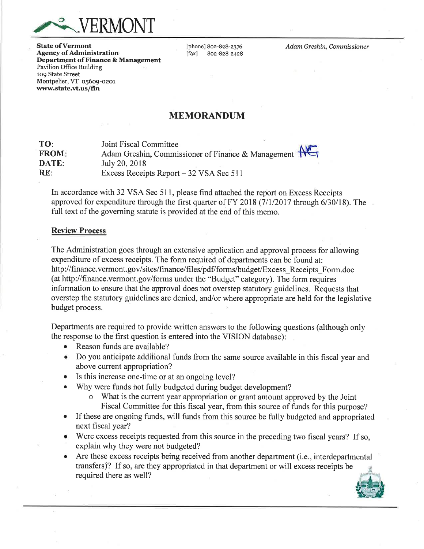

**State of Vermont** Agency of Administration Department of Finance & Management Pavilion Office Building 1o9 State Street Montpelier, VT 05609-0201 www.state.vt.us/fin

[phone] 802-828-2376<br>[fax] 802-828-2428 [fax] 8oz-8z\$-2428 Adam Greshin, Commissioner

# MEMORANDUM

| TO:          | Joint Fiscal Committee                             |
|--------------|----------------------------------------------------|
| <b>FROM:</b> | Adam Greshin, Commissioner of Finance & Management |
| DATE:        | July 20, 2018                                      |
| RE:          | Excess Receipts Report – 32 VSA Sec 511            |

In accordance with 32 VSA Sec 511, please find attached the report on Excess Receipts approved for expenditure through the first quarter of FY 2018 (7/1/2017 through  $6/30/18$ ). The full text of the governing statute is provided at the end of this memo.

### Review Process

The Administration goes through an extensive application and approval process for allowing expenditure of excess receipts. The form required of departments can be found at: http://finance.vermont.gov/sites/finance/files/pdf/forms/budget/Excess\_Receipts\_Form.doc (at http://finance.vermont.gov/forms under the "Budget" category). The form requires information to ensure that the approval does not overstep statutory guidelines. Requests that overstep the statutory guidelines are denied, and/or where appropriate are held for the legislative budget process.

Departments are required to provide written answers to the following questions (although only the response to the first question is entered into the VISION database):

- o Reason funds are available?
- o Do you anticipate additional funds from the same source available in this fiscal year and above current appropriation?
- Is this increase one-time or at an ongoing level?
	- . Why were funds hot fully budgeted during budget development?
		- o What is the current year appropriation or grant amount approved by the Joint Fiscal Committee for this fiscal year, from this source of funds for this purpose?
- If these are ongoing funds, will funds from this source be fully budgeted and appropriated next fiscal year?
- Were excess receipts requested from this source in the preceding two fiscal years? If so, explain why they were not budgeted?
- Are these excess receipts being received from another department (i.e., interdepartmental transfers)? If so, are they appropriated in that department or will excess receipts be required there as well? t

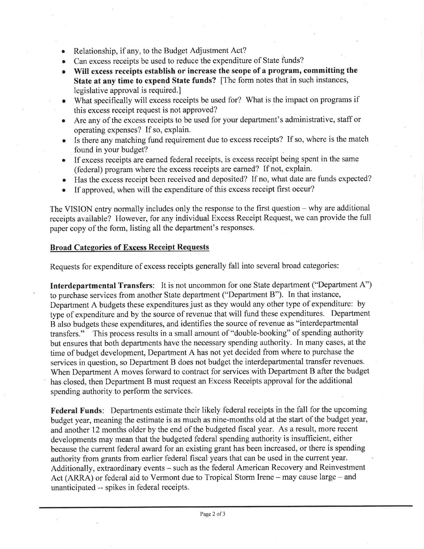- Relationship, if any, to the Budget Adjustment Act?
- Can excess receipts be used to reduce the expenditure of State funds?
- .. Will excess receipts establish or increase the scope of a program, committing the State at any time to expend State funds? [The form notes that in such instances, legislative approval is required.]
- What specifically will excess receipts be used for? What is the impact on programs if this excess receipt request is not approved?
- o Are any of the excess receipts to be used for your department's administrative, staff or operating expenses? If so, explain.
- o Is there any matching fund requirement due to excess receipts? If so, where is the match found in your budget?
- If excess receipts are earned federal receipts, is excess receipt being spent in the same (federal) program where the excess receipts are earned? If not, explain.
- o Has the excess receipt been received and deposited? If no, what date are funds expected?
- . If approved, when will the expenditure of this excess receipt first occur?

The VISION entry normally includes only the response to the first question  $-$  why are additional receipts available? However, for any individual Excess Receipt Request, we can provide the full paper copy of the form, listing all the department's responses.

# **Broad Categories of Excess Receipt Requests**

Requests for expenditure of excess receipts generally fall into several broad categories:

Interdepartmental Transfers: It is not uncommon for one State department ("Department A") to purchase services from another State department ("Department B"). In that instance, Department A budgets these expenditures just as they would any other type of expenditure: by type of expenditure and by the source of revenue that will fund these expenditures. Department B also budgets these expenditures, and identifies the source of revenue as "interdepartmental transfers." This process results in a small amount of "double-booking" of spending authority but ensures that both departments have the necessary spending authority. In many cases, at the time of budget development, Department A has not yet decided from where to purchase the services in question, so Department B does not budget the interdepartmental transfer revenues. When Department A moves forward to contract for services with Department B after the budget has closed, then Department B must request an Excess Receipts approval for the additional spending authority to perform the services.

Federal Funds: Departments estimate their likely federal receipts in the fall for the upcoming budget year, meaning the estimate is as much as nine-months old at the start of the budget year, and another 12 months older by the end of the budgeted fiscal year. As a result, more recent developments may mean that the budgeted federal spending authority is insufficient, either because the current federal award for an existing grant has been increased, or there is spending authority from grants from earlier federal fiscal years that can be used in the current year. Additionally, extraordinary events - such as the federal American Recovery and Reinvestment Act (ARRA) or federal aid to Vermont due to Tropical Storm Irene - may cause large - and unanticipated -- spikes in federal receipts.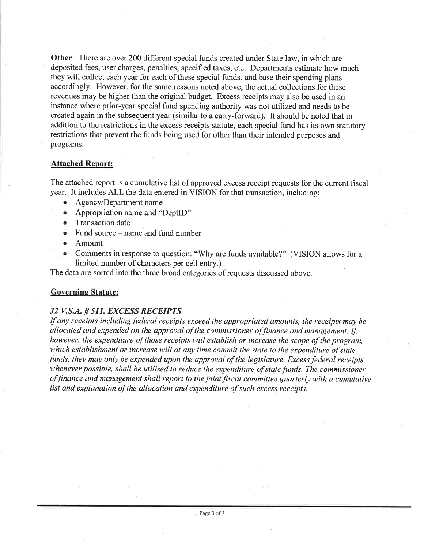Other: There are over 200 different special funds created under State law, in which are deposited fees, user charges, penalties, specified taxes, etc. Departments estimate how much they will collect each year for each of these special funds, and base their spending plans accordingly. However, for the same reasons noted above, the actual collections for these revenues may be higher than the original budget. Excess receipts may also be used in an instance where prior-year special fund spending authority was not utilized and needs to be created again in the subsequent year (similar to a carry-forward). It should be noted that in addition to the restrictions in the excess receipts statute, each special fund has its own statutory restrictions that prevent the funds being used for other than their intended purposes and programs.

### Attached Report:

The attached report is a cumulative list of approved excess receipt requests for the current fiscal year. It includes ALL the data entered in VISION for that transaction, including:

- Agency/Department name
- . Appropriation name and "DeptlD"
- Transaction date
- . Fund source name and fund number
- o Amount
- Comments in response to question: "Why are funds available?" (VISION allows for a limited number of characters per cell entry.)

The data are sorted into the three broad categories of requests discussed above.

# Governing Statute:

# 32 V.S.A. \$511. EXCESS RECETPTS

If any receipts including federal receipts exceed the appropriated amounts, the receipts may be allocated and expended on the approval of the commissioner of finance and management. If, however, the expenditure of those receipts will establish or increase the scope of the program, which establishment or increase will at any time commit the state to the expenditure of state funds, they may only be expended upon the approval of the legislature. Excess federal receipts, whenever possible, shall be utilized to reduce the expenditure of state funds. The commissioner of finance and management shall report to the joint fiscal committee quarterly with a cumulative list and explanation of the allocation and expenditure of such excess receipts.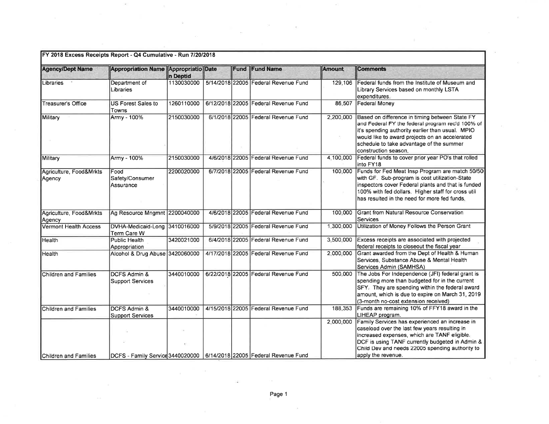| FY 2018 Excess Receipts Report - Q4 Cumulative - Run 7/20/2018 |                                                    |            |  |             |                                                                           |               |                                                                                                                                                                                                                                                                              |  |  |
|----------------------------------------------------------------|----------------------------------------------------|------------|--|-------------|---------------------------------------------------------------------------|---------------|------------------------------------------------------------------------------------------------------------------------------------------------------------------------------------------------------------------------------------------------------------------------------|--|--|
| Agency/Dept Name                                               | Appropriation Name Appropriatio Date               | In Deptid  |  | <b>Fund</b> | <b>Fund Name</b>                                                          | <b>Amount</b> | <b>Comments</b>                                                                                                                                                                                                                                                              |  |  |
| ibraries                                                       | Department of<br>Libraries                         | 1130030000 |  |             | 5/14/2018 22005 Federal Revenue Fund                                      | 129,106       | Federal funds from the Institute of Museum and<br>Library Services based on monthly LSTA<br>expenditures.                                                                                                                                                                    |  |  |
| <b>Treasurer's Office</b>                                      | <b>US Forest Sales to</b><br>Towns                 | 1260110000 |  |             | 6/12/2018 22005 Federal Revenue Fund                                      |               | 86,507 Federal Money                                                                                                                                                                                                                                                         |  |  |
| Military                                                       | Army - 100%                                        | 2150030000 |  |             | 6/1/2018 22005 Federal Revenue Fund                                       | 2,200,000     | Based on difference in timing between State FY<br>and Federal FY the federal program rec'd 100% of<br>it's spending authority earlier than usual. MPIO<br>would like to award projects on an accelerated<br>schedule to take advantage of the summer<br>construction season. |  |  |
| Military                                                       | Army - 100%                                        | 2150030000 |  |             | 4/6/2018 22005 Federal Revenue Fund                                       | 4,100,000     | Federal funds to cover prior year PO's that rolled<br>into FY18                                                                                                                                                                                                              |  |  |
| Agriculture, Food&Mrkts<br>Agency                              | Food<br>Safety/Consumer<br>Assurance               | 2200020000 |  |             | 6/7/2018 22005 Federal Revenue Fund                                       | 100,000       | Funds for Fed Meat Insp Program are match 50/50<br>with GF. Sub-program is cost utilization-State<br>inspectors cover Federal plants and that is funded<br>100% with fed dollars. Higher staff for cross util<br>has resulted in the need for more fed funds.                |  |  |
| Agriculture, Food&Mrkts<br>Agency                              | Ag Resource Mngmnt 2200040000                      |            |  |             | 4/6/2018 22005 Federal Revenue Fund                                       | 100,000       | Grant from Natural Resource Conservation<br>Services                                                                                                                                                                                                                         |  |  |
| <b>Vermont Health Access</b>                                   | DVHA-Medicaid-Long 3410016000<br>Term Care W       |            |  |             | 5/9/2018 22005 Federal Revenue Fund                                       | 1,300,000     | Utilization of Money Follows the Person Grant                                                                                                                                                                                                                                |  |  |
| Health                                                         | Public Health<br>Appropriation                     | 3420021000 |  |             | 6/4/2018 22005 Federal Revenue Fund                                       |               | 3,500,000 Excess receipts are associated with projected<br>federal receipts to closeout the fiscal year                                                                                                                                                                      |  |  |
| <b>Health</b>                                                  | Alcohol & Drug Abuse 3420060000                    |            |  |             | 4/17/2018 22005 Federal Revenue Fund                                      | 2,000,000     | Grant awarded from the Dept of Health & Human<br>Services, Substance Abuse & Mental Health<br>Services Admin (SAMHSA)                                                                                                                                                        |  |  |
| <b>Children and Families</b>                                   | <b>DCFS Admin &amp;</b><br><b>Support Services</b> | 3440010000 |  |             | 6/22/2018 22005 Federal Revenue Fund                                      | 500,000       | The Jobs For Independence (JFI) federal grant is<br>spending more than budgeted for in the current<br>SFY. They are spending within the federal award<br>amount, which is due to expire on March 31, 2019<br>(3-month no-cost extension received)                            |  |  |
| Children and Families                                          | <b>DCFS Admin &amp;</b><br><b>Support Services</b> | 3440010000 |  |             | 4/15/2018 22005 Federal Revenue Fund                                      |               | 188,353 Funds are remaining 10% of FFY18 award in the<br>LIHEAP program.                                                                                                                                                                                                     |  |  |
|                                                                |                                                    |            |  |             |                                                                           | 2,000,000     | Family Services has experienced an increase in<br>caseload over the last few years resulting in<br>increased expenses, which are TANF eligible,<br>DCF is using TANF currently budgeted in Admin &<br>Child Dev and needs 22005 spending authority to                        |  |  |
| Children and Families                                          |                                                    |            |  |             | DCFS - Family Service 3440020000   6/14/2018 22005   Federal Revenue Fund |               | apply the revenue.                                                                                                                                                                                                                                                           |  |  |

×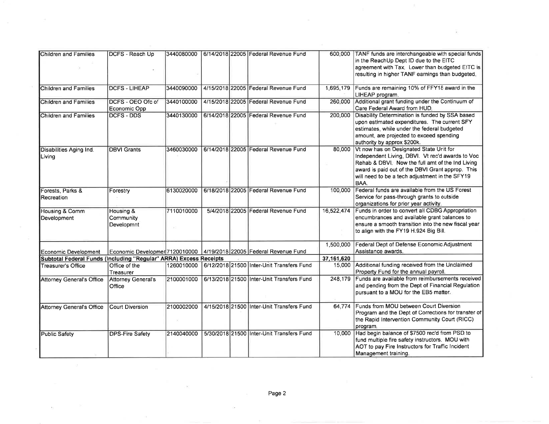| Children and Families                                             | <b>DCFS - Reach Up</b> | 3440080000 |  | 6/14/2018 22005 Federal Revenue Fund                                |              | 600,000 TANF funds are interchangeable with special funds |
|-------------------------------------------------------------------|------------------------|------------|--|---------------------------------------------------------------------|--------------|-----------------------------------------------------------|
|                                                                   |                        |            |  |                                                                     |              | in the ReachUp Dept ID due to the EITC                    |
|                                                                   |                        |            |  |                                                                     |              | agreement with Tax. Lower than budgeted EITC is           |
|                                                                   |                        |            |  |                                                                     |              | resulting in higher TANF earnings than budgeted.          |
|                                                                   |                        |            |  |                                                                     |              |                                                           |
| Children and Families                                             | <b>DCFS - LIHEAP</b>   | 3440090000 |  | 4/15/2018 22005 Federal Revenue Fund                                | 1,695,179    | Funds are remaining 10% of FFY18 award in the             |
|                                                                   |                        |            |  |                                                                     |              | LIHEAP program.                                           |
| <b>Children and Families</b>                                      | DCFS - OEO Ofc of      | 3440100000 |  | 4/15/2018 22005 Federal Revenue Fund                                |              | 260,000 Additional grant funding under the Continuum of   |
|                                                                   | Economic Opp           |            |  |                                                                     |              | Care Federal Award from HUD.                              |
| <b>Children and Families</b>                                      | <b>DCFS - DDS</b>      | 3440130000 |  | 6/14/2018 22005 Federal Revenue Fund                                | 200,000      | Disability Determination is funded by SSA based           |
|                                                                   |                        |            |  |                                                                     |              | upon estimated expenditures. The current SFY              |
|                                                                   |                        |            |  |                                                                     |              | estimates, while under the federal budgeted               |
|                                                                   |                        |            |  |                                                                     |              |                                                           |
|                                                                   |                        |            |  |                                                                     |              | amount, are projected to exceed spending                  |
|                                                                   |                        |            |  |                                                                     |              | authority by approx \$200k.                               |
| Disabilities Aging Ind.                                           | <b>DBVI Grants</b>     | 3460030000 |  | 6/14/2018 22005 Federal Revenue Fund                                | 80,000       | Vt now has on Designated State Unit for                   |
| Living                                                            |                        |            |  |                                                                     |              | Independent Living, DBVI. Vt rec'd awards to Voc          |
|                                                                   |                        |            |  |                                                                     |              | Rehab & DBVI: Now the full amt of the Ind Living          |
|                                                                   |                        |            |  |                                                                     |              | award is paid out of the DBVI Grant approp. This          |
|                                                                   |                        |            |  |                                                                     |              | will need to be a tech adjustment in the SFY19            |
|                                                                   |                        |            |  |                                                                     |              | BAA.                                                      |
| Forests, Parks &                                                  | Forestry               | 6130020000 |  | 6/18/2018 22005 Federal Revenue Fund                                | 100,000      | Federal funds are available from the US Forest            |
| Recreation                                                        |                        |            |  |                                                                     |              | Service for pass-through grants to outside                |
|                                                                   |                        |            |  |                                                                     |              | organizations for prior year activity.                    |
|                                                                   |                        | 7110010000 |  | 5/4/2018 22005 Federal Revenue Fund                                 | 16,522,474   | Funds in order to convert all CDBG Appropriation          |
| Housing & Comm                                                    | Housing &              |            |  |                                                                     |              |                                                           |
| Development                                                       | Community              |            |  |                                                                     |              | encumbrances and available grant balances to              |
|                                                                   | Developmnt             |            |  |                                                                     |              | ensure a smooth transition into the new fiscal year       |
|                                                                   |                        |            |  |                                                                     |              | to align with the FY19 H.924 Big Bill.                    |
|                                                                   |                        |            |  |                                                                     |              |                                                           |
|                                                                   |                        |            |  |                                                                     | 1,500,000    | Federal Dept of Defense Economic Adjustment               |
| Economic Development                                              |                        |            |  | Economic Developmer 7120010000 4/19/2018 22005 Federal Revenue Fund |              | Assistance awards.                                        |
| Subtotal Federal Funds (Including "Regular" ARRA) Excess Receipts |                        |            |  |                                                                     | 37, 161, 620 |                                                           |
| Treasurer's Office                                                | Office of the          | 1260010000 |  | 6/12/2018 21500 Inter-Unit Transfers Fund                           |              | 15,000 Additional funding received from the Unclaimed     |
|                                                                   | Treasurer              |            |  |                                                                     |              | Property Fund for the annual payroll.                     |
| Attorney General's Office                                         | Attorney General's     | 2100001000 |  | 6/13/2018 21500 Inter-Unit Transfers Fund                           | 248.179      | Funds are available from reimbursements received          |
|                                                                   | Office                 |            |  |                                                                     |              | and pending from the Dept of Financial Regulation         |
|                                                                   |                        |            |  |                                                                     |              | pursuant to a MOU for the EB5 matter.                     |
|                                                                   |                        |            |  |                                                                     |              |                                                           |
| <b>Attorney General's Office</b>                                  | Court Diversion        | 2100002000 |  | 4/15/2018 21500 Inter-Unit Transfers Fund                           | 64.774       | Funds from MOU between Court Diversion                    |
|                                                                   |                        |            |  |                                                                     |              | Program and the Dept of Corrections for transfer of       |
|                                                                   |                        |            |  |                                                                     |              | the Rapid Intervention Community Court (RICC)             |
|                                                                   |                        |            |  |                                                                     |              |                                                           |
|                                                                   |                        |            |  |                                                                     |              | program.                                                  |
| Public Safety                                                     | <b>DPS-Fire Safety</b> | 2140040000 |  | 5/30/2018 21500 Inter-Unit Transfers Fund                           | 10,000       | Had begin balance of \$7500 rec'd from PSD to             |
|                                                                   |                        |            |  |                                                                     |              | fund multiple fire safety instructors. MOU with           |
|                                                                   |                        |            |  |                                                                     |              | AOT to pay Fire Instructors for Traffic Incident          |
|                                                                   |                        |            |  |                                                                     |              | Management training.                                      |

W

 $\sim$ 

 $\langle \sigma \rangle$ 

 $\epsilon$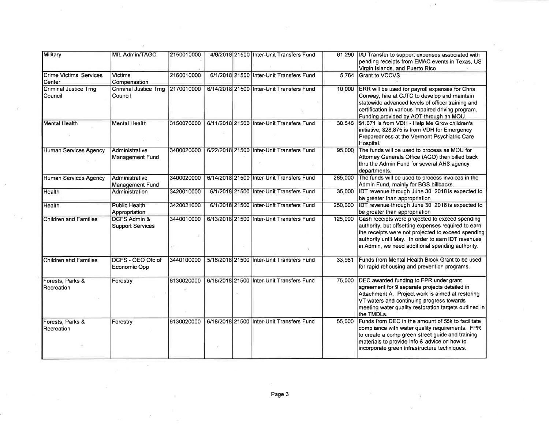| Military                                 | <b>MIL Admin/TAGO</b>                              | 2150010000 |  | 4/6/2018 21500 Inter-Unit Transfers Fund  |         | 61,290   I/U Transfer to support expenses associated with<br>pending receipts from EMAC events in Texas, US                                                                                                                                                            |
|------------------------------------------|----------------------------------------------------|------------|--|-------------------------------------------|---------|------------------------------------------------------------------------------------------------------------------------------------------------------------------------------------------------------------------------------------------------------------------------|
| <b>Crime Victims' Services</b><br>Center | <b>Victims</b><br>Compensation                     | 2160010000 |  | 6/1/2018 21500 Inter-Unit Transfers Fund  |         | Virgin Islands, and Puerto Rico<br>5,764 Grant to VCCVS                                                                                                                                                                                                                |
| Criminal Justice Trng<br><b>Council</b>  | Criminal Justice Trng<br>Council                   | 2170010000 |  | 6/14/2018 21500 Inter-Unit Transfers Fund |         | 10,000 ERR will be used for payroll expenses for Chris<br>Conway, hire at CJTC to develop and maintain<br>statewide advanced levels of officer training and<br>certification in various impaired driving program.<br>Funding provided by AOT through an MOU.           |
| Mental Health                            | Mental Health                                      | 3150070000 |  | 6/11/2018 21500 Inter-Unit Transfers Fund |         | 30,546 \$1,671 is from VDH - Help Me Grow children's<br>initiative; \$28,875 is from VDH for Emergency<br>Preparedness at the Vermont Psychiatric Care<br>Hospital.                                                                                                    |
| Human Services Agency                    | Administrative<br>Management Fund                  | 3400020000 |  | 6/22/2018 21500 Inter-Unit Transfers Fund | 95,000  | The funds will be used to process an MOU for<br>Attorney Generals Office (AGO) then billed back<br>thru the Admin Fund for several AHS agency<br>departments.                                                                                                          |
| <b>Human Services Agency</b>             | Administrative<br>Management Fund                  | 3400020000 |  | 6/14/2018 21500 Inter-Unit Transfers Fund | 265,000 | The funds will be used to process invoices in the<br>Admin Fund, mainly for BGS billbacks.                                                                                                                                                                             |
| <b>Health</b>                            | Administration                                     | 3420010000 |  | 6/1/2018 21500 Inter-Unit Transfers Fund  |         | 35,000 IDT revenue through June 30, 2018 is expected to<br>be greater than appropriation.                                                                                                                                                                              |
| Health                                   | Public Health<br>Appropriation                     | 3420021000 |  | 6/1/2018 21500 Inter-Unit Transfers Fund  | 250,000 | IDT revenue through June 30, 2018 is expected to<br>be greater than appropriation.                                                                                                                                                                                     |
| <b>Children and Families</b>             | <b>DCFS Admin &amp;</b><br><b>Support Services</b> | 3440010000 |  | 6/13/2018 21500 Inter-Unit Transfers Fund | 125,000 | Cash receipts were projected to exceed spending<br>authority, but offsetting expenses required to earn<br>the receipts were not projected to exceed spending<br>authority until May. In order to earn IDT revenues<br>in Admin, we need additional spending authority. |
| <b>Children and Families</b>             | DCFS - OEO Ofc of<br>Economic Opp                  | 3440100000 |  | 5/16/2018 21500 Inter-Unit Transfers Fund | 33.981  | Funds from Mental Health Block Grant to be used<br>for rapid rehousing and prevention programs.                                                                                                                                                                        |
| Forests, Parks &<br>Recreation           | Forestry                                           | 6130020000 |  | 6/18/2018 21500 Inter-Unit Transfers Fund |         | 75,000 DEC awarded funding to FPR under grant<br>agreement for 9 separate projects detailed in<br>Attachment A. Project work is aimed at restoring<br>VT waters and continuing progress towards<br>meeting water quality restoration targets outlined in<br>the TMDLs. |
| Forests, Parks &<br>Recreation           | Forestry                                           | 6130020000 |  | 6/18/2018 21500 Inter-Unit Transfers Fund | 55.000  | Funds from DEC in the amount of 55k to facilitate<br>compliance with water quality requirements. FPR<br>to create a comp green street guide and training<br>materials to provide info & advice on how to<br>incorporate green infrastructure techniques.               |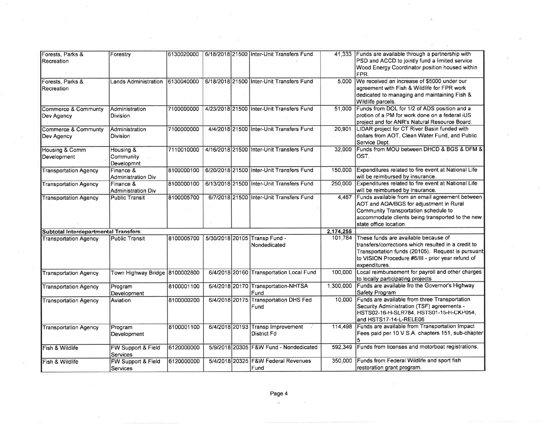| Forests, Parks &<br>Recreation       | Forestry                                | 6130020000 |  | 6/18/2018 21500 Inter-Unit Transfers Fund        |           | 41,333 Funds are available through a partnership with<br>PSD and ACCD to jointly fund a limited service<br>Wood Energy Coordinator position housed within<br>FPR.                                                      |
|--------------------------------------|-----------------------------------------|------------|--|--------------------------------------------------|-----------|------------------------------------------------------------------------------------------------------------------------------------------------------------------------------------------------------------------------|
| Forests, Parks &<br>Recreation       | Lands Administration                    | 6130040000 |  | 6/18/2018 21500 Inter-Unit Transfers Fund        | 5,000     | We received an increase of \$5000 under our<br>agreement with Fish & Wildlife for FPR work<br>dedicated to managing and maintaining Fish &<br>Wildlife parcels.                                                        |
| Commerce & Communty<br>Dev Agency    | Administration<br>Division              | 7100000000 |  | 4/23/2018 21500 Inter-Unit Transfers Fund        | 51,000    | Funds from DOL for 1/2 of ADS position and a<br>protion of a PM for work done on a federal iUS<br>project and for ANR's Natural Resource Board.                                                                        |
| Commerce & Communty<br>Dev Agency    | Administration<br>Division              | 7100000000 |  | 4/4/2018 21500 Inter-Unit Transfers Fund         | 20.901    | LIDAR project for CT River Basin funded with<br>dollars from AOT, Clean Water Fund, and Public<br>Service Dept.                                                                                                        |
| Housing & Comm<br>Development        | Housing &<br>Community<br>Developmnt    | 7110010000 |  | 4/16/2018 21500 Inter-Unit Transfers Fund        | 32,000    | Funds from MOU between DHCD & BGS & DFM &<br>OST.                                                                                                                                                                      |
| <b>Transportation Agency</b>         | Finance &<br><b>Administration Div.</b> | 8100000100 |  | 6/20/2018 21500 Inter-Unit Transfers Fund        | 150,000   | Expenditures related to fire event at National Life<br>will be reimbursed by insurance.                                                                                                                                |
| <b>Transportation Agency</b>         | Finance &<br><b>Administration Div</b>  | 8100000100 |  | 6/13/2018 21500 Inter-Unit Transfers Fund        | 250,000   | Expenditures related to fire event at National Life<br>will be reimbursed by insurance.                                                                                                                                |
| <b>Transportation Agency</b>         | <b>Public Transit</b>                   | 8100005700 |  | 6/7/2018 21500 Inter-Unit Transfers Fund         |           | 4,487 Funds available from an email agreement between<br>AOT and AOA/BGS for adjustment in Rural<br>Community Transportation schedule to<br>accommodate clients being transported to the new<br>state office location. |
| Subtotal Interdepartmental Transfers |                                         |            |  |                                                  | 2,174,255 |                                                                                                                                                                                                                        |
| <b>Transportation Agency</b>         | Public Transit                          | 8100005700 |  | 5/30/2018 20105 Transp Fund -<br>Nondedicated    | 101,784   | These funds are available because of<br>transfers/corrections which resulted in a credit to<br>Transportation funds (20105). Request is pursuant<br>to VISION Procedure #6/III - prior year refund of<br>expenditures. |
| <b>Transportation Agency</b>         | Town Highway Bridge 8100002800          |            |  | 6/4/2018 20160 Transportation Local Fund         | 100,000   | Local reimbursement for payroll and other charges<br>to locally participating projects                                                                                                                                 |
| <b>Transportation Agency</b>         | Program<br>Development                  | 8100001100 |  | 6/4/2018 20170 Transportation-NHTSA<br>Fund      |           | 1,300,000 Funds are available fro the Governor's Highway<br>Safety Program                                                                                                                                             |
| <b>Transportation Agency</b>         | Aviation                                | 8100000200 |  | 6/4/2018 20175 Transportation DHS Fed<br>Fund    | 10.000    | Funds are available from three Transportation<br>Security Administration (TSF) agreements -<br>HSTS02-16-H-SLR784, HSTS01-15-H-CKP054,<br>and HSTS17-14-L-RELE06                                                       |
| <b>Transportation Agency</b>         | Program<br>Development                  | 8100001100 |  | 6/4/2018 20193 Transp Improvement<br>District Fd | 114,498   | Funds are available from Transportation Impact<br>Fees paid per 10 V.S.A. chapters 151, sub-chapter                                                                                                                    |
| Fish & Wildlife                      | FW Support & Field<br><b>Services</b>   | 6120000000 |  | 5/9/2018 20305 F&W Fund - Nondedicated           | 592,349   | Funds from licenses and motorboat registrations.                                                                                                                                                                       |
| Fish & Wildlife                      | FW Support & Field<br><b>Services</b>   | 6120000000 |  | 5/4/2018 20325 F&W Federal Revenues<br>Fund      | 350,000   | Funds from Federal Wildlife and sport fish<br>restoration grant program.                                                                                                                                               |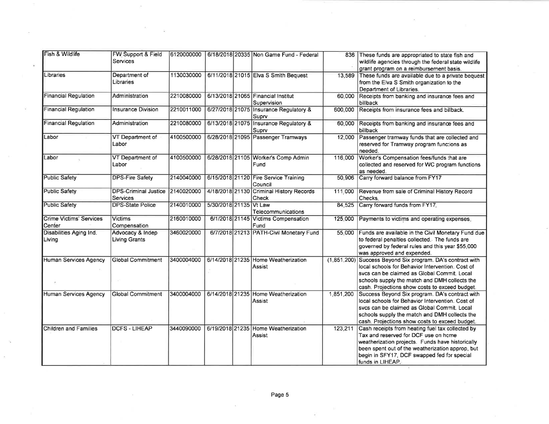| Fish & Wildlife                   | <b>FW Support &amp; Field</b><br><b>Services</b> | 6120000000 |                        | 6/18/2018 20335 Non Game Fund - Federal              |           | 836 These funds are appropriated to state fish and<br>wildlife agencies through the federal state wildlife<br>grant program on a reimbursement basis.                                                                                                               |
|-----------------------------------|--------------------------------------------------|------------|------------------------|------------------------------------------------------|-----------|---------------------------------------------------------------------------------------------------------------------------------------------------------------------------------------------------------------------------------------------------------------------|
| Libraries                         | Department of<br>Libraries                       | 1130030000 |                        | 6/11/2018 21015 Elva S Smith Bequest                 |           | 13,589 These funds are available due to a private bequest<br>from the Elva S Smith organization to the<br>Department of Libraries.                                                                                                                                  |
| <b>Financial Regulation</b>       | Administration                                   | 2210080000 |                        | 6/13/2018 21065 Financial Institut<br>Supervision    | 60.000    | Receipts from banking and insurance fees and<br><b>billback</b>                                                                                                                                                                                                     |
| <b>Financial Requlation</b>       | <b>Insurance Division</b>                        | 2210011000 |                        | 6/27/2018 21075 Insurance Regulatory &<br>Suprv      | 600.000   | Receipts from insurance fees and billback.                                                                                                                                                                                                                          |
| <b>Financial Regulation</b>       | Administration                                   | 2210080000 |                        | 6/13/2018 21075 Insurance Regulatory &<br>Suprv      | 60,000    | Receipts from banking and insurance fees and<br>billback                                                                                                                                                                                                            |
| <b>Labor</b>                      | VT Department of<br>Labor                        | 4100500000 |                        | 6/28/2018 21095 Passenger Tramways                   |           | 12,000 Passenger tramway funds that are collected and<br>reserved for Tramway program functions as<br>needed.                                                                                                                                                       |
| Labor                             | VT Department of<br>Labor                        | 4100500000 |                        | 6/28/2018 21105 Worker's Comp Admin<br>Fund          | 116,000   | Worker's Compensation fees/funds that are<br>collected and reserved for WC program functions<br>as needed.                                                                                                                                                          |
| <b>Public Safety</b>              | <b>DPS-Fire Safety</b>                           | 2140040000 |                        | 6/15/2018 21120 Fire Service Training<br>Council     | 50,906    | Carry forward balance from FY17                                                                                                                                                                                                                                     |
| <b>Public Safety</b>              | <b>DPS-Criminal Justice</b><br>Services          | 2140020000 |                        | 4/18/2018 21130 Criminal History Records<br>Check    | 111,000   | Revenue from sale of Criminal History Record<br>Checks.                                                                                                                                                                                                             |
| Public Safety                     | <b>DPS-State Police</b>                          | 2140010000 | 5/30/2018 21135 Vt Law | Telecommunications                                   | 84,525    | Carry forward funds from FY17.                                                                                                                                                                                                                                      |
| Crime Victims' Services<br>Center | Victims<br>Compensation                          | 2160010000 |                        | 6/1/2018 21145 Victims Compensation<br>Fund          | 125.000   | Payments to victims and operating expenses.                                                                                                                                                                                                                         |
| Disabilities Aging Ind.<br>Living | Advocacy & Indep<br><b>Living Grants</b>         | 3460020000 |                        | 6/7/2018 21213 PATH-Civil Monetary Fund              | 55.000    | Funds are available in the Civil Monetary Fund due<br>to federal penalties collected. The funds are<br>governed by federal rules and this year \$55,000<br>was approved and expended.                                                                               |
| Human Services Agency             | <b>Global Commitment</b>                         | 3400004000 |                        | 6/14/2018 21235 Home Weatherization<br>Assist        |           | (1,851,200) Success Beyond Six program. DA's contract with<br>local schools for Behavior Intervention. Cost of<br>svcs can be claimed as Global Commit. Local<br>schools supply the match and DMH collects the<br>cash. Projections show costs to exceed budget.    |
| Human Services Agency             | <b>Global Commitment</b>                         | 3400004000 |                        | 6/14/2018 21235 Home Weatherization<br>Assist        | 1,851,200 | Success Beyond Six program. DA's contract with<br>local schools for Behavior Intervention. Cost of<br>svcs can be claimed as Global Commit. Local<br>schools supply the match and DMH collects the<br>cash. Projections show costs to exceed budget.                |
| Children and Families             | <b>DCFS - LIHEAP</b>                             | 3440090000 |                        | 6/19/2018 21235 Home Weatherization<br><b>Assist</b> | 123,211   | Cash receipts from heating fuel tax collected by<br>Tax and reserved for DCF use on home<br>weatherization projects. Funds have historically<br>been spent out of the weatherization approp, but<br>begin in SFY17, DCF swapped fed for special<br>funds in LIHEAP. |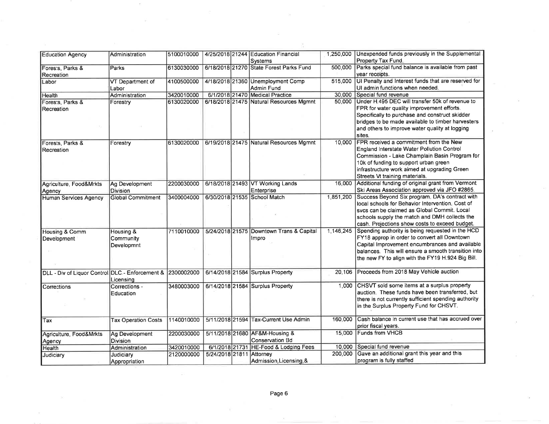| <b>Education Agency</b>                                    | Administration                       | 5100010000 |                              | 4/25/2018 21244 Education Financial<br><b>Systems</b> |           | 1,250,000 Unexpended funds previously in the Supplemental<br>Property Tax Fund.                                                                                                                                                                                          |
|------------------------------------------------------------|--------------------------------------|------------|------------------------------|-------------------------------------------------------|-----------|--------------------------------------------------------------------------------------------------------------------------------------------------------------------------------------------------------------------------------------------------------------------------|
| Forests, Parks &                                           | Parks                                | 6130030000 |                              | 6/18/2018 21270 State Forest Parks Fund               | 500,000   | Parks special fund balance is available from past                                                                                                                                                                                                                        |
| Recreation<br>Labor                                        | VT Department of<br>Labor            | 4100500000 |                              | 4/18/2018 21360 Unemployment Comp<br>Admin Fund       | 515,000   | year receipts.<br>UI Penalty and Interest funds that are reserved for<br>UI admin functions when needed.                                                                                                                                                                 |
| Health                                                     | Administration                       | 3420010000 |                              | 6/1/2018 21470 Medical Practice                       |           | 30,000 Special fund revenue                                                                                                                                                                                                                                              |
| Forests, Parks &<br>Recreation                             | Forestry                             | 6130020000 |                              | 6/18/2018 21475 Natural Resources Mgmnt               |           | 50,000 Under H 495 DEC will transfer 50k of revenue to<br>FPR for water quality improvement efforts.<br>Specifically to purchase and construct skidder<br>bridges to be made available to timber harvesters<br>and others to improve water quality at logging<br>sites.  |
| Forests, Parks &<br><b>Recreation</b>                      | Forestry                             | 6130020000 |                              | 6/19/2018 21475 Natural Resources Mgmnt               | 10.000    | <b>IFPR</b> received a commitment from the New<br>England Interstate Water Pollution Control<br>Commission - Lake Champlain Basin Program for<br>10k of funding to support urban green<br>infrastructure work aimed at upgrading Green<br>Streets Vt training materials. |
| Agriculture, Food&Mrkts<br>Agency                          | Ag Development<br>Division           | 2200030000 |                              | 6/18/2018 21493 VT Working Lands<br>Enterprise        | 16,000    | Additional funding of original grant from Vermont<br>Ski Areas Association approved via JFO #2865.                                                                                                                                                                       |
| Human Services Agency                                      | <b>Global Commitment</b>             | 3400004000 | 6/30/2018 21535 School Match |                                                       | 1,851,200 | Success Beyond Six program. DA's contract with<br>local schools for Behavior Intervention. Cost of<br>sycs can be claimed as Global Commit. Local<br>schools supply the match and DMH collects the<br>cash. Projections show costs to exceed budget.                     |
| Housing & Comm<br>Development                              | Housing &<br>Community<br>Developmnt | 7110010000 |                              | 5/24/2018 21575 Downtown Trans & Capital<br>impro     | 1,146,245 | Spending authority is being requested in the HCD<br>FY18 approp in order to convert all Downtown<br>Capital Improvement encumbrances and available<br>balances. This will ensure a smooth transition into<br>the new FY to align with the FY19 H.924 Big Bill.           |
| DLL - Div of Liquor Control DLC - Enforcement & 2300002000 | Licensing                            |            |                              | 6/14/2018 21584 Surplus Property                      |           | 20,106 Proceeds from 2018 May Vehicle auction                                                                                                                                                                                                                            |
| Corrections                                                | Corrections -<br>Education           | 3480003000 |                              | 6/14/2018 21584 Surplus Property                      |           | 1,000 CHSVT sold some items at a surplus property<br>auction. These funds have been transferred, but<br>there is not currently sufficient spending authority<br>in the Surplus Property Fund for CHSVT.                                                                  |
| Tax                                                        | <b>Tax Operation Costs</b>           | 1140010000 |                              | 5/11/2018 21594 Tax-Current Use Admin                 | 160,000   | Cash balance in current use that has accrued over<br>prior fiscal years.                                                                                                                                                                                                 |
| Agriculture, Food&Mrkts<br>Agency                          | Ag Development<br><b>Division</b>    | 2200030000 |                              | 5/11/2018 21680 AF&M-Housing &<br>Conservation Bd     | 15,000    | <b>Funds from VHCB</b>                                                                                                                                                                                                                                                   |
| Health                                                     | Administration                       | 3420010000 |                              | 6/1/2018 21731 HE-Food & Lodging Fees                 |           | 10,000 Special fund revenue                                                                                                                                                                                                                                              |
| Judiciary                                                  | Judiciary<br>Appropriation           | 2120000000 | 5/24/2018 21811 Attorney     | Admission, Licensing, &                               | 200,000   | Gave an additional grant this year and this<br>program is fully staffed                                                                                                                                                                                                  |

 $\overline{\chi}$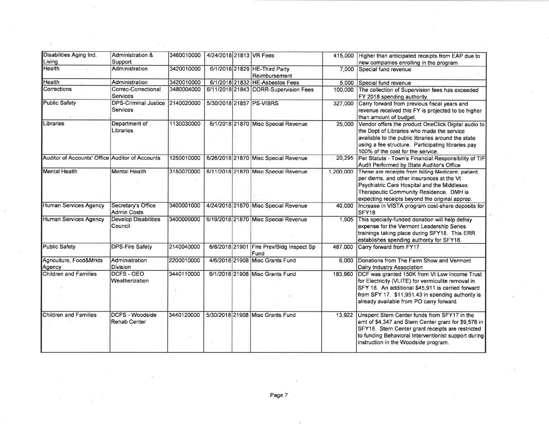| Disabilities Aging Ind.                         | Administration &                                   | 3460010000 | 4/24/2018 21813 VR Fees |                                                  |           | 415,000 Higher than anticipated receipts from EAP due to                                                                                                                                                                                                  |
|-------------------------------------------------|----------------------------------------------------|------------|-------------------------|--------------------------------------------------|-----------|-----------------------------------------------------------------------------------------------------------------------------------------------------------------------------------------------------------------------------------------------------------|
| Living                                          | Support                                            |            |                         |                                                  |           | new companies enrolling in the program                                                                                                                                                                                                                    |
| <b>Health</b>                                   | Administration                                     | 3420010000 |                         | 6/1/2018 21829 HE-Third Party<br>Reimbursement   |           | 7,000 Special fund revenue                                                                                                                                                                                                                                |
| Health                                          | Administration                                     | 3420010000 |                         | 6/1/2018 21832 HE-Asbestos Fees                  |           | 5,000 Special fund revenue                                                                                                                                                                                                                                |
| Corrections                                     | Correc-Correctional<br>Services                    | 3480004000 |                         | 6/11/2018 21843 CORR-Supervision Fees            |           | 100,000 The collection of Supervision fees has exceeded<br>FY 2018 spending authority.                                                                                                                                                                    |
| Public Safety                                   | DPS-Criminal Justice 2140020000<br><b>Services</b> |            |                         | 5/30/2018 21857 PS-VIBRS                         | 327,000   | Carry forward from previous fiscal years and<br>revenue received this FY is projected to be higher<br>than amount of budget.                                                                                                                              |
| Libraries                                       | Department of<br>Libraries                         | 1130030000 |                         | 6/1/2018 21870 Misc Special Revenue              | 25,000    | Vendor offers the product OneClick Digital audio to<br>the Dept of Libraries who made the service<br>available to the public libraries around the state<br>using a fee structure. Participating libraries pay<br>100% of the cost for the service.        |
| Auditor of Accounts' Office Auditor of Accounts |                                                    | 1250010000 |                         | 6/26/2018 21870 Misc Special Revenue             | 20,295    | Per Statute - Town's Financial Responsibility of TIF<br>Audit Performed by State Auditor's Office                                                                                                                                                         |
| Mental Health                                   | <b>Mental Health</b>                               | 3150070000 |                         | 6/11/2018 21870 Misc Special Revenue             | 1,200,000 | These are receipts from billing Medicare, patient<br>per diems, and other insurances at the Vt<br>Psychiatric Care Hospital and the Middlesex<br>Therapeutic Community Residence. DMH is<br>expecting receipts beyond the original approp.                |
| Human Services Agency                           | Secretary's Office<br>Admin Costs                  | 3400001000 |                         | 4/24/2018 21870 Misc Special Revenue             | 40,000    | Increase in VISTA program cost-share deposits for<br>SFY18                                                                                                                                                                                                |
| Human Services Agency                           | <b>Develop Disabilities</b><br>Council             | 3400009000 |                         | 6/19/2018 21870 Misc Special Revenue             | 1,905     | This specially-funded donation will help defray<br>expense for the Vermont Leadership Series<br>trainings taking place during SFY18. This ERR<br>establishes spending authority for SFY18.                                                                |
| Public Safety                                   | <b>DPS-Fire Safety</b>                             | 2140040000 |                         | 6/8/2018 21901 Fire Prev/Bldg Inspect Sp<br>Fund | 487.000   | Carry forward from FY17                                                                                                                                                                                                                                   |
| Agriculture, Food&Mrkts<br>Agency               | Administration<br><b>Division</b>                  | 2200010000 |                         | 4/6/2018 21908 Misc Grants Fund                  | 6,000     | Donations from The Farm Show and Vermont<br>Dairy Industry Association                                                                                                                                                                                    |
| <b>Children and Families</b>                    | <b>DCFS - OEO</b><br>Weatherization                | 3440110000 |                         | 6/1/2018 21908 Misc Grants Fund                  | 183,960   | DCF was granted 150K from Vt Low Income Trust<br>for Electricity (VLITE) for vermiculite removal in<br>SFY 18. An additional \$45,911 is carried forward<br>from SFY 17. \$11,951.43 in spending authority is<br>already available from PO carry forward. |
| Children and Families                           | <b>DCFS - Woodside</b><br><b>Rehab Center</b>      | 3440120000 |                         | 5/30/2018 21908 Misc Grants Fund                 | 13.922    | Unspent Stern Center funds from SFY17 in the<br>amt of \$4,347 and Stern Center grant for \$9,576 in<br>SFY18. Stern Center grant receipts are restricted<br>to funding Behavioral Interventionist support during<br>instruction in the Woodside program. |